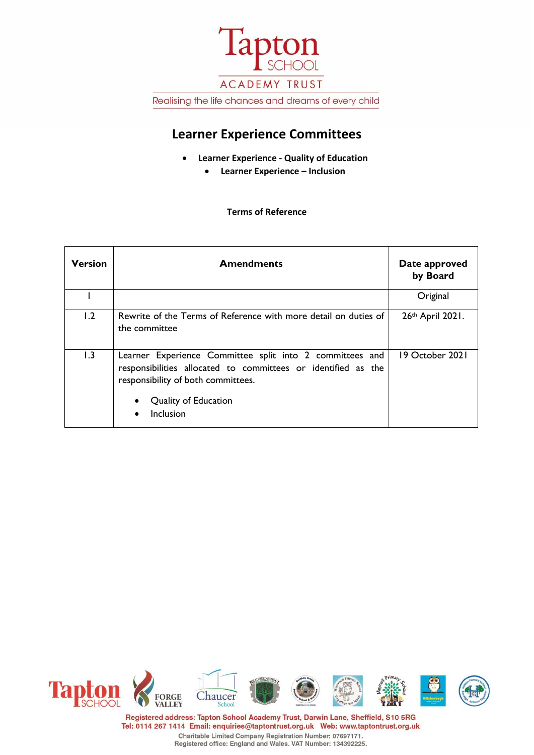

# **Learner Experience Committees**

- **Learner Experience - Quality of Education**
	- **Learner Experience – Inclusion**

#### **Terms of Reference**

| <b>Version</b> | <b>Amendments</b>                                                                                                                                                                                                 | Date approved<br>by Board |
|----------------|-------------------------------------------------------------------------------------------------------------------------------------------------------------------------------------------------------------------|---------------------------|
|                |                                                                                                                                                                                                                   | Original                  |
| 1.2            | Rewrite of the Terms of Reference with more detail on duties of<br>the committee                                                                                                                                  | 26th April 2021.          |
| 1.3            | Learner Experience Committee split into 2 committees and<br>responsibilities allocated to committees or identified as the<br>responsibility of both committees.<br>Quality of Education<br>Inclusion<br>$\bullet$ | 19 October 2021           |



Registered address: Tapton School Academy Trust, Darwin Lane, Sheffield, S10 5RG Tel: 0114 267 1414 Email: enquiries@taptontrust.org.uk Web: www.taptontrust.org.uk Charitable Limited Company Registration Number: 07697171.<br>Registered office: England and Wales. VAT Number: 134392225.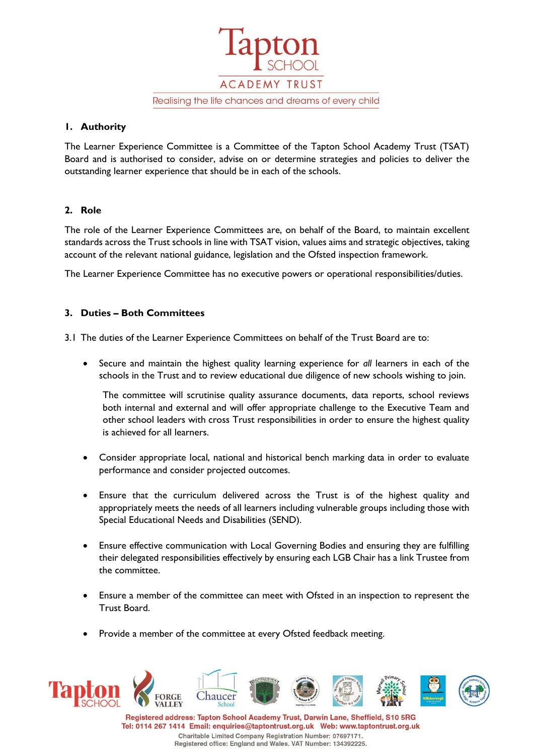

#### **1. Authority**

The Learner Experience Committee is a Committee of the Tapton School Academy Trust (TSAT) Board and is authorised to consider, advise on or determine strategies and policies to deliver the outstanding learner experience that should be in each of the schools.

## **2. Role**

The role of the Learner Experience Committees are, on behalf of the Board, to maintain excellent standards across the Trust schools in line with TSAT vision, values aims and strategic objectives, taking account of the relevant national guidance, legislation and the Ofsted inspection framework.

The Learner Experience Committee has no executive powers or operational responsibilities/duties.

## **3. Duties – Both Committees**

3.1 The duties of the Learner Experience Committees on behalf of the Trust Board are to:

• Secure and maintain the highest quality learning experience for *all* learners in each of the schools in the Trust and to review educational due diligence of new schools wishing to join.

The committee will scrutinise quality assurance documents, data reports, school reviews both internal and external and will offer appropriate challenge to the Executive Team and other school leaders with cross Trust responsibilities in order to ensure the highest quality is achieved for all learners.

- Consider appropriate local, national and historical bench marking data in order to evaluate performance and consider projected outcomes.
- Ensure that the curriculum delivered across the Trust is of the highest quality and appropriately meets the needs of all learners including vulnerable groups including those with Special Educational Needs and Disabilities (SEND).
- Ensure effective communication with Local Governing Bodies and ensuring they are fulfilling their delegated responsibilities effectively by ensuring each LGB Chair has a link Trustee from the committee.
- Ensure a member of the committee can meet with Ofsted in an inspection to represent the Trust Board.
- Provide a member of the committee at every Ofsted feedback meeting.



Tel: 0114 267 1414 Email: enquiries@taptontrust.org.uk Web: www.taptontrust.org.uk Charitable Limited Company Registration Number: 07697171. Registered office: England and Wales. VAT Number: 134392225.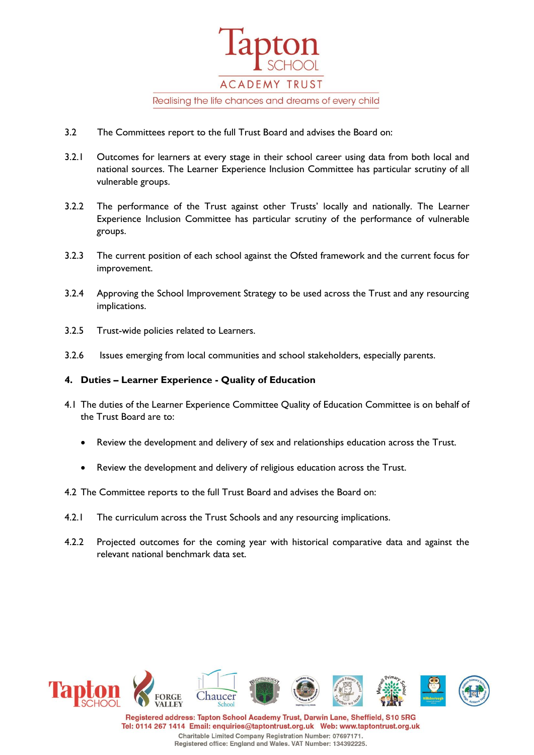

- 3.2 The Committees report to the full Trust Board and advises the Board on:
- 3.2.1 Outcomes for learners at every stage in their school career using data from both local and national sources. The Learner Experience Inclusion Committee has particular scrutiny of all vulnerable groups.
- 3.2.2 The performance of the Trust against other Trusts' locally and nationally. The Learner Experience Inclusion Committee has particular scrutiny of the performance of vulnerable groups.
- 3.2.3 The current position of each school against the Ofsted framework and the current focus for improvement.
- 3.2.4 Approving the School Improvement Strategy to be used across the Trust and any resourcing implications.
- 3.2.5 Trust-wide policies related to Learners.
- 3.2.6 Issues emerging from local communities and school stakeholders, especially parents.

#### **4. Duties – Learner Experience - Quality of Education**

- 4.1 The duties of the Learner Experience Committee Quality of Education Committee is on behalf of the Trust Board are to:
	- Review the development and delivery of sex and relationships education across the Trust.
	- Review the development and delivery of religious education across the Trust.
- 4.2 The Committee reports to the full Trust Board and advises the Board on:
- 4.2.1 The curriculum across the Trust Schools and any resourcing implications.
- 4.2.2 Projected outcomes for the coming year with historical comparative data and against the relevant national benchmark data set.



Registered address: Tapton School Academy Trust, Darwin Lane, Sheffield, S10 5RG Tel: 0114 267 1414 Email: enquiries@taptontrust.org.uk Web: www.taptontrust.org.uk Charitable Limited Company Registration Number: 07697171. Registered office: England and Wales. VAT Number: 134392225.